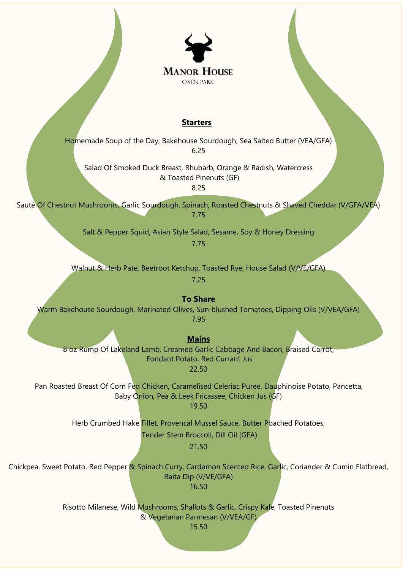

## **Starters**

Homemade Soup of the Day, Bakehouse Sourdough, Sea Salted Butter (VEA/GFA) 6.25

Salad Of Smoked Duck Breast, Rhubarb, Orange & Radish, Watercress & Toasted Pinenuts (GF)

8.25

Sauté Of Chestnut Mushrooms, Garlic Sourdough, Spinach, Roasted Chestnuts & Shaved Cheddar (V/GFA/VEA) 7.75

> Salt & Pepper Squid, Asian Style Salad, Sesame, Soy & Honey Dressing 7.75

Walnut & Herb Pate, Beetroot Ketchup, Toasted Rye, House Salad (V/VE/GFA)

7.25

**To Share**  Warm Bakehouse Sourdough, Marinated Olives, Sun-blushed Tomatoes, Dipping Oils (V/VEA/GFA) 7.95

**Mains**

8 oz Rump Of Lakeland Lamb, Creamed Garlic Cabbage And Bacon, Braised Carrot, Fondant Potato, Red Currant Jus 22.50

Pan Roasted Breast Of Corn Fed Chicken, Caramelised Celeriac Puree, Dauphinoise Potato, Pancetta, Baby Onion, Pea & Leek Fricassee, Chicken Jus (GF)

19.50

Herb Crumbed Hake Fillet, Provencal Mussel Sauce, Butter Poached Potatoes,

Tender Stem Broccoli, Dill Oil (GFA)

21.50

Chickpea, Sweet Potato, Red Pepper & Spinach Curry, Cardamon Scented Rice, Garlic, Coriander & Cumin Flatbread, Raita Dip (V/VE/GFA) 16.50

> Risotto Milanese, Wild Mushrooms, Shallots & Garlic, Crispy Kale, Toasted Pinenuts & Vegetarian Parmesan (V/VEA/GF)

> > 15.50